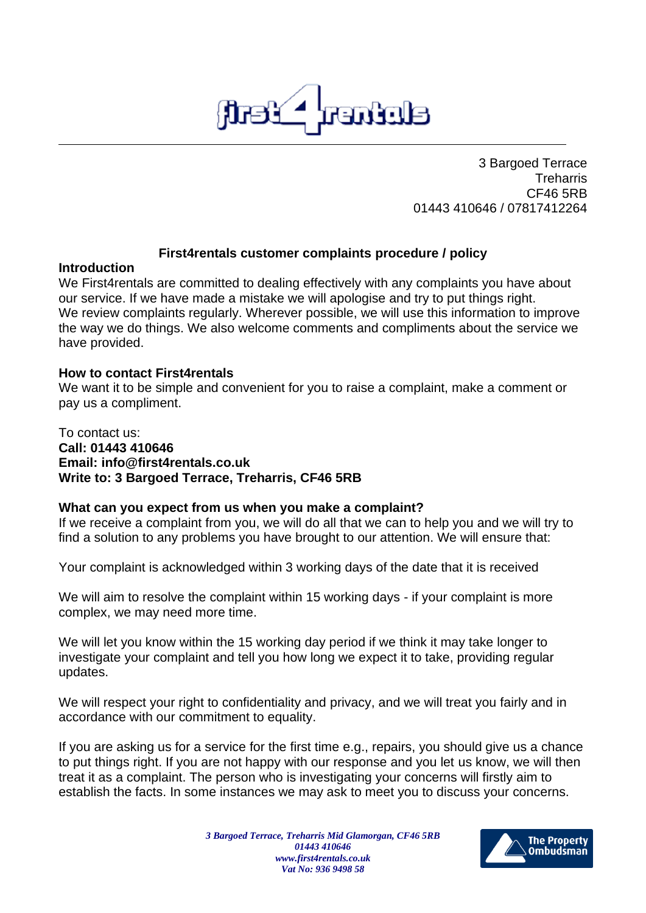

3 Bargoed Terrace **Treharris** CF46 5RB 01443 410646 / 07817412264

### **First4rentals customer complaints procedure / policy**

#### **Introduction**

We First4rentals are committed to dealing effectively with any complaints you have about our service. If we have made a mistake we will apologise and try to put things right. We review complaints regularly. Wherever possible, we will use this information to improve the way we do things. We also welcome comments and compliments about the service we have provided.

#### **How to contact First4rentals**

We want it to be simple and convenient for you to raise a complaint, make a comment or pay us a compliment.

#### To contact us: **Call: 01443 410646 Email: info@first4rentals.co.uk Write to: 3 Bargoed Terrace, Treharris, CF46 5RB**

### **What can you expect from us when you make a complaint?**

If we receive a complaint from you, we will do all that we can to help you and we will try to find a solution to any problems you have brought to our attention. We will ensure that:

Your complaint is acknowledged within 3 working days of the date that it is received

We will aim to resolve the complaint within 15 working days - if your complaint is more complex, we may need more time.

We will let you know within the 15 working day period if we think it may take longer to investigate your complaint and tell you how long we expect it to take, providing regular updates.

We will respect your right to confidentiality and privacy, and we will treat you fairly and in accordance with our commitment to equality.

If you are asking us for a service for the first time e.g., repairs, you should give us a chance to put things right. If you are not happy with our response and you let us know, we will then treat it as a complaint. The person who is investigating your concerns will firstly aim to establish the facts. In some instances we may ask to meet you to discuss your concerns.